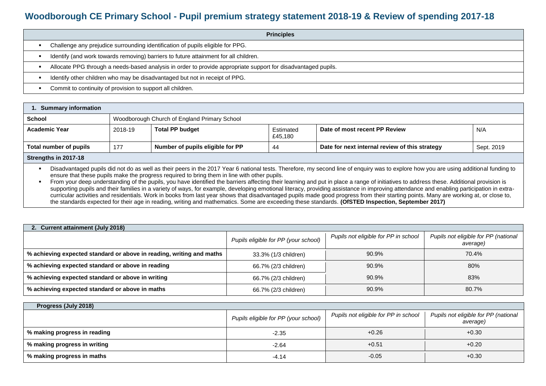## **Woodborough CE Primary School - Pupil premium strategy statement 2018-19 & Review of spending 2017-18**

| <b>Principles</b>                                                                                             |
|---------------------------------------------------------------------------------------------------------------|
| Challenge any prejudice surrounding identification of pupils eligible for PPG.                                |
| Identify (and work towards removing) barriers to future attainment for all children.                          |
| Allocate PPG through a needs-based analysis in order to provide appropriate support for disadvantaged pupils. |
| Identify other children who may be disadvantaged but not in receipt of PPG.                                   |
| Commit to continuity of provision to support all children.                                                    |

| <b>Summary information</b> |                                              |                                  |                      |                                                |            |  |  |
|----------------------------|----------------------------------------------|----------------------------------|----------------------|------------------------------------------------|------------|--|--|
| <b>School</b>              | Woodborough Church of England Primary School |                                  |                      |                                                |            |  |  |
| <b>Academic Year</b>       | 2018-19                                      | <b>Total PP budget</b>           | Estimated<br>£45,180 | Date of most recent PP Review                  | N/A        |  |  |
| Total number of pupils     | 177                                          | Number of pupils eligible for PP | 44                   | Date for next internal review of this strategy | Sept. 2019 |  |  |

## **Strengths in 2017-18**

Disadvantaged pupils did not do as well as their peers in the 2017 Year 6 national tests. Therefore, my second line of enquiry was to explore how you are using additional funding to ensure that these pupils make the progress required to bring them in line with other pupils.

From your deep understanding of the pupils, you have identified the barriers affecting their learning and put in place a range of initiatives to address these. Additional provision is supporting pupils and their families in a variety of ways, for example, developing emotional literacy, providing assistance in improving attendance and enabling participation in extracurricular activities and residentials. Work in books from last year shows that disadvantaged pupils made good progress from their starting points. Many are working at, or close to, the standards expected for their age in reading, writing and mathematics. Some are exceeding these standards. **(OfSTED Inspection, September 2017)**

| 2. Current attainment (July 2018)                                    |                                      |                                      |                                                  |  |  |  |  |
|----------------------------------------------------------------------|--------------------------------------|--------------------------------------|--------------------------------------------------|--|--|--|--|
|                                                                      | Pupils eligible for PP (your school) | Pupils not eligible for PP in school | Pupils not eligible for PP (national<br>average) |  |  |  |  |
| % achieving expected standard or above in reading, writing and maths | 33.3% (1/3 children)                 | 90.9%                                | 70.4%                                            |  |  |  |  |
| % achieving expected standard or above in reading                    | 66.7% (2/3 children)                 | 90.9%                                | 80%                                              |  |  |  |  |
| % achieving expected standard or above in writing                    | 66.7% (2/3 children)                 | 90.9%                                | 83%                                              |  |  |  |  |
| % achieving expected standard or above in maths                      | 66.7% (2/3 children)                 | 90.9%                                | 80.7%                                            |  |  |  |  |

| Progress (July 2018)         |                                      |                                      |                                                  |  |  |  |  |
|------------------------------|--------------------------------------|--------------------------------------|--------------------------------------------------|--|--|--|--|
|                              | Pupils eligible for PP (your school) | Pupils not eligible for PP in school | Pupils not eligible for PP (national<br>average) |  |  |  |  |
| % making progress in reading | $-2.35$                              | $+0.26$                              | $+0.30$                                          |  |  |  |  |
| % making progress in writing | $-2.64$                              | $+0.51$                              | $+0.20$                                          |  |  |  |  |
| % making progress in maths   | $-4.14$                              | $-0.05$                              | $+0.30$                                          |  |  |  |  |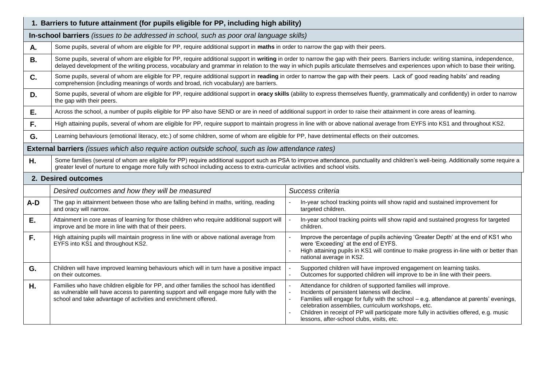| 1. Barriers to future attainment (for pupils eligible for PP, including high ability) |                                                                                                                                                                                                                                                                       |                                                                                                                                                                                                                                                                                                                                                                                                       |  |  |  |  |  |
|---------------------------------------------------------------------------------------|-----------------------------------------------------------------------------------------------------------------------------------------------------------------------------------------------------------------------------------------------------------------------|-------------------------------------------------------------------------------------------------------------------------------------------------------------------------------------------------------------------------------------------------------------------------------------------------------------------------------------------------------------------------------------------------------|--|--|--|--|--|
|                                                                                       | In-school barriers (issues to be addressed in school, such as poor oral language skills)                                                                                                                                                                              |                                                                                                                                                                                                                                                                                                                                                                                                       |  |  |  |  |  |
| А.                                                                                    | Some pupils, several of whom are eligible for PP, require additional support in maths in order to narrow the gap with their peers.                                                                                                                                    |                                                                                                                                                                                                                                                                                                                                                                                                       |  |  |  |  |  |
| <b>B.</b>                                                                             | Some pupils, several of whom are eligible for PP, require additional support in writing in order to narrow the gap with their peers. Barriers include: writing stamina, independence,                                                                                 | delayed development of the writing process, vocabulary and grammar in relation to the way in which pupils articulate themselves and experiences upon which to base their writing.                                                                                                                                                                                                                     |  |  |  |  |  |
| C.                                                                                    | Some pupils, several of whom are eligible for PP, require additional support in reading in order to narrow the gap with their peers. Lack of good reading habits' and reading<br>comprehension (including meanings of words and broad, rich vocabulary) are barriers. |                                                                                                                                                                                                                                                                                                                                                                                                       |  |  |  |  |  |
| D.                                                                                    | Some pupils, several of whom are eligible for PP, require additional support in oracy skills (ability to express themselves fluently, grammatically and confidently) in order to narrow<br>the gap with their peers.                                                  |                                                                                                                                                                                                                                                                                                                                                                                                       |  |  |  |  |  |
| E.                                                                                    | Across the school, a number of pupils eligible for PP also have SEND or are in need of additional support in order to raise their attainment in core areas of learning.                                                                                               |                                                                                                                                                                                                                                                                                                                                                                                                       |  |  |  |  |  |
| F.                                                                                    | High attaining pupils, several of whom are eligible for PP, require support to maintain progress in line with or above national average from EYFS into KS1 and throughout KS2.                                                                                        |                                                                                                                                                                                                                                                                                                                                                                                                       |  |  |  |  |  |
| G.                                                                                    | Learning behaviours (emotional literacy, etc.) of some children, some of whom are eligible for PP, have detrimental effects on their outcomes.                                                                                                                        |                                                                                                                                                                                                                                                                                                                                                                                                       |  |  |  |  |  |
|                                                                                       | <b>External barriers</b> (issues which also require action outside school, such as low attendance rates)                                                                                                                                                              |                                                                                                                                                                                                                                                                                                                                                                                                       |  |  |  |  |  |
| Η.                                                                                    | greater level of nurture to engage more fully with school including access to extra-curricular activities and school visits.                                                                                                                                          | Some families (several of whom are eligible for PP) require additional support such as PSA to improve attendance, punctuality and children's well-being. Additionally some require a                                                                                                                                                                                                                  |  |  |  |  |  |
|                                                                                       | 2. Desired outcomes                                                                                                                                                                                                                                                   |                                                                                                                                                                                                                                                                                                                                                                                                       |  |  |  |  |  |
|                                                                                       | Desired outcomes and how they will be measured                                                                                                                                                                                                                        | Success criteria                                                                                                                                                                                                                                                                                                                                                                                      |  |  |  |  |  |
| $A-D$                                                                                 | The gap in attainment between those who are falling behind in maths, writing, reading<br>and oracy will narrow.                                                                                                                                                       | In-year school tracking points will show rapid and sustained improvement for<br>targeted children.                                                                                                                                                                                                                                                                                                    |  |  |  |  |  |
| Ε.                                                                                    | Attainment in core areas of learning for those children who require additional support will<br>improve and be more in line with that of their peers.                                                                                                                  | In-year school tracking points will show rapid and sustained progress for targeted<br>children.                                                                                                                                                                                                                                                                                                       |  |  |  |  |  |
| F.                                                                                    | High attaining pupils will maintain progress in line with or above national average from<br>EYFS into KS1 and throughout KS2.                                                                                                                                         | Improve the percentage of pupils achieving 'Greater Depth' at the end of KS1 who<br>were 'Exceeding' at the end of EYFS.<br>High attaining pupils in KS1 will continue to make progress in-line with or better than<br>national average in KS2.                                                                                                                                                       |  |  |  |  |  |
| G.                                                                                    | Children will have improved learning behaviours which will in turn have a positive impact<br>on their outcomes.                                                                                                                                                       | Supported children will have improved engagement on learning tasks.<br>Outcomes for supported children will improve to be in line with their peers.                                                                                                                                                                                                                                                   |  |  |  |  |  |
| Η.                                                                                    | Families who have children eligible for PP, and other families the school has identified<br>as vulnerable will have access to parenting support and will engage more fully with the<br>school and take advantage of activities and enrichment offered.                | Attendance for children of supported families will improve.<br>Incidents of persistent lateness will decline.<br>Families will engage for fully with the school - e.g. attendance at parents' evenings,<br>celebration assemblies, curriculum workshops, etc.<br>Children in receipt of PP will participate more fully in activities offered, e.g. music<br>lessons, after-school clubs, visits, etc. |  |  |  |  |  |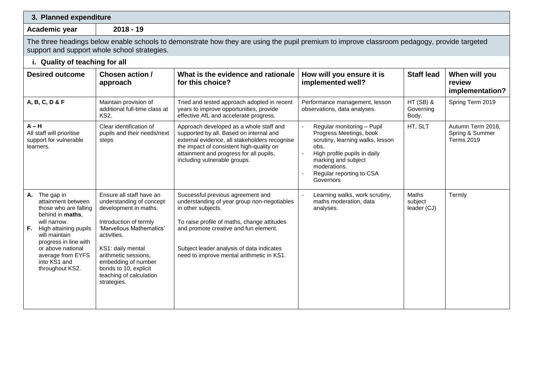|  |  |  | 3. Planned expenditure |
|--|--|--|------------------------|
|--|--|--|------------------------|

**Academic year 2018 - 19**

The three headings below enable schools to demonstrate how they are using the pupil premium to improve classroom pedagogy, provide targeted support and support whole school strategies.

|                                                                                                                                                                                                                                                            | i. Quality of teaching for all                                                                                                                                                                                                                                                            |                                                                                                                                                                                                                                                                                          |                                                                                                                                                                                                                   |                                  |                                                           |
|------------------------------------------------------------------------------------------------------------------------------------------------------------------------------------------------------------------------------------------------------------|-------------------------------------------------------------------------------------------------------------------------------------------------------------------------------------------------------------------------------------------------------------------------------------------|------------------------------------------------------------------------------------------------------------------------------------------------------------------------------------------------------------------------------------------------------------------------------------------|-------------------------------------------------------------------------------------------------------------------------------------------------------------------------------------------------------------------|----------------------------------|-----------------------------------------------------------|
| <b>Desired outcome</b>                                                                                                                                                                                                                                     | Chosen action /<br>approach                                                                                                                                                                                                                                                               | What is the evidence and rationale<br>for this choice?                                                                                                                                                                                                                                   | How will you ensure it is<br>implemented well?                                                                                                                                                                    | <b>Staff lead</b>                | When will you<br>review<br>implementation?                |
| A, B, C, D & F                                                                                                                                                                                                                                             | Maintain provision of<br>additional full-time class at<br><b>KS2.</b>                                                                                                                                                                                                                     | Tried and tested approach adopted in recent<br>years to improve opportunities, provide<br>effective AfL and accelerate progress.                                                                                                                                                         | Performance management, lesson<br>observations, data analyses.                                                                                                                                                    | $HT(SB)$ &<br>Governing<br>Body. | Spring Term 2019                                          |
| $A - H$<br>All staff will prioritise<br>support for vulnerable<br>learners.                                                                                                                                                                                | Clear identification of<br>pupils and their needs/next<br>steps                                                                                                                                                                                                                           | Approach developed as a whole staff and<br>supported by all. Based on internal and<br>external evidence, all stakeholders recognise<br>the impact of consistent high-quality on<br>attainment and progress for all pupils,<br>including vulnerable groups.                               | Regular monitoring - Pupil<br>Progress Meetings, book<br>scrutiny, learning walks, lesson<br>obs.<br>High profile pupils in daily<br>marking and subject<br>moderations.<br>Regular reporting to CSA<br>Governors | HT, SLT                          | Autumn Term 2018,<br>Spring & Summer<br><b>Terms 2019</b> |
| A. The gap in<br>attainment between<br>those who are falling<br>behind in maths.<br>will narrow.<br><b>F.</b> High attaining pupils<br>will maintain<br>progress in line with<br>or above national<br>average from EYFS<br>into KS1 and<br>throughout KS2. | Ensure all staff have an<br>understanding of concept<br>development in maths.<br>Introduction of termly<br>'Marvellous Mathematics'<br>activities.<br>KS1: daily mental<br>arithmetic sessions,<br>embedding of number<br>bonds to 10, explicit<br>teaching of calculation<br>strategies. | Successful previous agreement and<br>understanding of year group non-negotiables<br>in other subjects.<br>To raise profile of maths, change attitudes<br>and promote creative and fun element.<br>Subject leader analysis of data indicates<br>need to improve mental arithmetic in KS1. | Learning walks, work scrutiny,<br>maths moderation, data<br>analyses.                                                                                                                                             | Maths<br>subject<br>leader (CJ)  | Termly                                                    |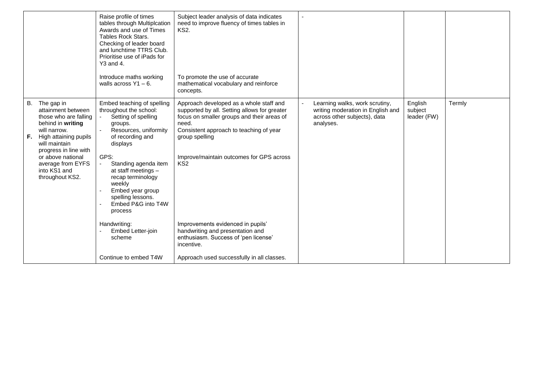|    |                                                                                                                                                                                                                                                   | Raise profile of times<br>tables through Multiplcation<br>Awards and use of Times<br><b>Tables Rock Stars.</b><br>Checking of leader board<br>and lunchtime TTRS Club.<br>Prioritise use of iPads for<br>Y3 and 4.<br>Introduce maths working<br>walls across $Y1 - 6$ .                                        | Subject leader analysis of data indicates<br>need to improve fluency of times tables in<br><b>KS2.</b><br>To promote the use of accurate<br>mathematical vocabulary and reinforce<br>concepts.                                                                             |                                                                                                                  |                                   |        |
|----|---------------------------------------------------------------------------------------------------------------------------------------------------------------------------------------------------------------------------------------------------|-----------------------------------------------------------------------------------------------------------------------------------------------------------------------------------------------------------------------------------------------------------------------------------------------------------------|----------------------------------------------------------------------------------------------------------------------------------------------------------------------------------------------------------------------------------------------------------------------------|------------------------------------------------------------------------------------------------------------------|-----------------------------------|--------|
| F. | B. The gap in<br>attainment between<br>those who are falling<br>behind in writing<br>will narrow.<br>High attaining pupils<br>will maintain<br>progress in line with<br>or above national<br>average from EYFS<br>into KS1 and<br>throughout KS2. | Embed teaching of spelling<br>throughout the school:<br>Setting of spelling<br>groups.<br>Resources, uniformity<br>of recording and<br>displays<br>GPS:<br>Standing agenda item<br>at staff meetings -<br>recap terminology<br>weekly<br>Embed year group<br>spelling lessons.<br>Embed P&G into T4W<br>process | Approach developed as a whole staff and<br>supported by all. Setting allows for greater<br>focus on smaller groups and their areas of<br>need.<br>Consistent approach to teaching of year<br>group spelling<br>Improve/maintain outcomes for GPS across<br>KS <sub>2</sub> | Learning walks, work scrutiny,<br>writing moderation in English and<br>across other subjects), data<br>analyses. | English<br>subject<br>leader (FW) | Termly |
|    |                                                                                                                                                                                                                                                   | Handwriting:<br>Embed Letter-join<br>scheme                                                                                                                                                                                                                                                                     | Improvements evidenced in pupils'<br>handwriting and presentation and<br>enthusiasm. Success of 'pen license'<br>incentive.                                                                                                                                                |                                                                                                                  |                                   |        |
|    |                                                                                                                                                                                                                                                   | Continue to embed T4W                                                                                                                                                                                                                                                                                           | Approach used successfully in all classes.                                                                                                                                                                                                                                 |                                                                                                                  |                                   |        |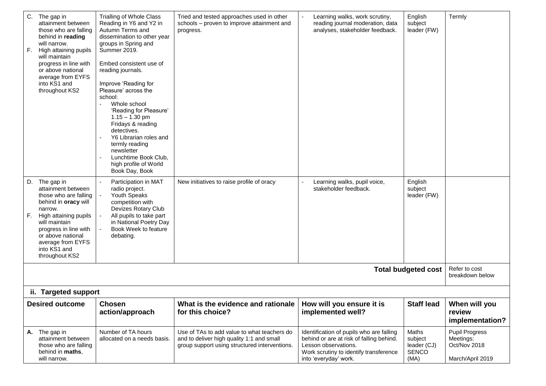| F. | C. The gap in<br>attainment between<br>those who are falling<br>behind in reading<br>will narrow.<br>High attaining pupils<br>will maintain<br>progress in line with<br>or above national<br>average from EYFS<br>into KS1 and<br>throughout KS2<br>D. The gap in | Trialling of Whole Class<br>Reading in Y6 and Y2 in<br>Autumn Terms and<br>dissemination to other year<br>groups in Spring and<br>Summer 2019.<br>Embed consistent use of<br>reading journals.<br>Improve 'Reading for<br>Pleasure' across the<br>school:<br>Whole school<br>'Reading for Pleasure'<br>$1.15 - 1.30$ pm<br>Fridays & reading<br>detectives.<br>Y6 Librarian roles and<br>termly reading<br>newsletter<br>Lunchtime Book Club,<br>high profile of World<br>Book Day, Book<br>Participation in MAT | Tried and tested approaches used in other<br>schools - proven to improve attainment and<br>progress.<br>New initiatives to raise profile of oracy | Learning walks, work scrutiny,<br>reading journal moderation, data<br>analyses, stakeholder feedback.<br>Learning walks, pupil voice,                                           | English<br>subject<br>leader (FW)<br>English            | Termly                                                          |  |
|----|-------------------------------------------------------------------------------------------------------------------------------------------------------------------------------------------------------------------------------------------------------------------|------------------------------------------------------------------------------------------------------------------------------------------------------------------------------------------------------------------------------------------------------------------------------------------------------------------------------------------------------------------------------------------------------------------------------------------------------------------------------------------------------------------|---------------------------------------------------------------------------------------------------------------------------------------------------|---------------------------------------------------------------------------------------------------------------------------------------------------------------------------------|---------------------------------------------------------|-----------------------------------------------------------------|--|
| F. | attainment between<br>those who are falling<br>behind in <b>oracy</b> will<br>narrow.<br>High attaining pupils<br>will maintain<br>progress in line with<br>or above national<br>average from EYFS<br>into KS1 and<br>throughout KS2                              | radio project.<br>Youth Speaks<br>competition with<br>Devizes Rotary Club<br>All pupils to take part<br>in National Poetry Day<br>Book Week to feature<br>debating.                                                                                                                                                                                                                                                                                                                                              |                                                                                                                                                   | stakeholder feedback.                                                                                                                                                           | subject<br>leader (FW)                                  |                                                                 |  |
|    | Refer to cost<br><b>Total budgeted cost</b><br>breakdown below                                                                                                                                                                                                    |                                                                                                                                                                                                                                                                                                                                                                                                                                                                                                                  |                                                                                                                                                   |                                                                                                                                                                                 |                                                         |                                                                 |  |
|    | ii. Targeted support                                                                                                                                                                                                                                              |                                                                                                                                                                                                                                                                                                                                                                                                                                                                                                                  |                                                                                                                                                   |                                                                                                                                                                                 |                                                         |                                                                 |  |
|    | <b>Desired outcome</b>                                                                                                                                                                                                                                            | <b>Chosen</b><br>action/approach                                                                                                                                                                                                                                                                                                                                                                                                                                                                                 | What is the evidence and rationale<br>for this choice?                                                                                            | How will you ensure it is<br>implemented well?                                                                                                                                  | <b>Staff lead</b>                                       | When will you<br>review<br>implementation?                      |  |
|    | A. The gap in<br>attainment between<br>those who are falling<br>behind in maths,<br>will narrow.                                                                                                                                                                  | Number of TA hours<br>allocated on a needs basis.                                                                                                                                                                                                                                                                                                                                                                                                                                                                | Use of TAs to add value to what teachers do<br>and to deliver high quality 1:1 and small<br>group support using structured interventions.         | Identification of pupils who are falling<br>behind or are at risk of falling behind.<br>Lesson observations.<br>Work scrutiny to identify transference<br>into 'everyday' work. | Maths<br>subject<br>leader (CJ)<br><b>SENCO</b><br>(MA) | Pupil Progress<br>Meetings:<br>Oct/Nov 2018<br>March/April 2019 |  |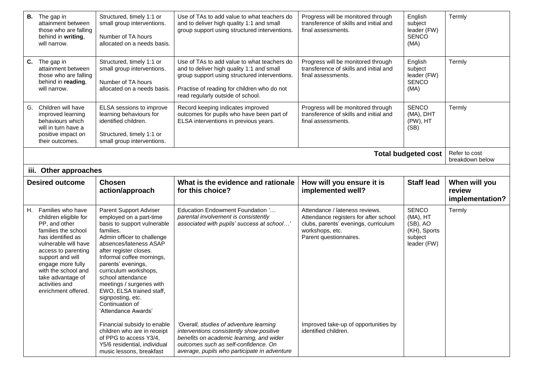|                       | <b>B.</b> The gap in<br>attainment between<br>those who are falling<br>behind in writing,<br>will narrow.                                                                                                                                                                               | Structured, timely 1:1 or<br>small group interventions.<br>Number of TA hours<br>allocated on a needs basis.                                                                                                                                                                                                                                                                                             | Use of TAs to add value to what teachers do<br>and to deliver high quality 1:1 and small<br>group support using structured interventions.                                                                                     | Progress will be monitored through<br>transference of skills and initial and<br>final assessments.                                                           | English<br>subject<br>leader (FW)<br><b>SENCO</b><br>(MA)                      | Termly                                     |
|-----------------------|-----------------------------------------------------------------------------------------------------------------------------------------------------------------------------------------------------------------------------------------------------------------------------------------|----------------------------------------------------------------------------------------------------------------------------------------------------------------------------------------------------------------------------------------------------------------------------------------------------------------------------------------------------------------------------------------------------------|-------------------------------------------------------------------------------------------------------------------------------------------------------------------------------------------------------------------------------|--------------------------------------------------------------------------------------------------------------------------------------------------------------|--------------------------------------------------------------------------------|--------------------------------------------|
|                       | C. The gap in<br>attainment between<br>those who are falling<br>behind in reading,<br>will narrow.                                                                                                                                                                                      | Structured, timely 1:1 or<br>small group interventions.<br>Number of TA hours<br>allocated on a needs basis.                                                                                                                                                                                                                                                                                             | Use of TAs to add value to what teachers do<br>and to deliver high quality 1:1 and small<br>group support using structured interventions.<br>Practise of reading for children who do not<br>read regularly outside of school. | Progress will be monitored through<br>transference of skills and initial and<br>final assessments.                                                           | English<br>subject<br>leader (FW)<br><b>SENCO</b><br>(MA)                      | Termly                                     |
| G.                    | Children will have<br>improved learning<br>behaviours which<br>will in turn have a<br>positive impact on<br>their outcomes.                                                                                                                                                             | ELSA sessions to improve<br>learning behaviours for<br>identified children.<br>Structured, timely 1:1 or<br>small group interventions.                                                                                                                                                                                                                                                                   | Record keeping indicates improved<br>outcomes for pupils who have been part of<br>ELSA interventions in previous years.                                                                                                       | Progress will be monitored through<br>transference of skills and initial and<br>final assessments.                                                           | <b>SENCO</b><br>(MA), DHT<br>(PW), HT<br>(SB)                                  | Termly                                     |
|                       |                                                                                                                                                                                                                                                                                         |                                                                                                                                                                                                                                                                                                                                                                                                          |                                                                                                                                                                                                                               |                                                                                                                                                              | <b>Total budgeted cost</b>                                                     | Refer to cost<br>breakdown below           |
| iii. Other approaches |                                                                                                                                                                                                                                                                                         |                                                                                                                                                                                                                                                                                                                                                                                                          |                                                                                                                                                                                                                               |                                                                                                                                                              |                                                                                |                                            |
|                       | <b>Desired outcome</b>                                                                                                                                                                                                                                                                  | <b>Chosen</b><br>action/approach                                                                                                                                                                                                                                                                                                                                                                         | What is the evidence and rationale<br>for this choice?                                                                                                                                                                        | How will you ensure it is<br>implemented well?                                                                                                               | <b>Staff lead</b>                                                              | When will you<br>review<br>implementation? |
|                       | H. Families who have<br>children eligible for<br>PP, and other<br>families the school<br>has identified as<br>vulnerable will have<br>access to parenting<br>support and will<br>engage more fully<br>with the school and<br>take advantage of<br>activities and<br>enrichment offered. | Parent Support Adviser<br>employed on a part-time<br>basis to support vulnerable<br>families.<br>Admin officer to challenge<br>absences/lateness ASAP<br>after register closes.<br>Informal coffee mornings,<br>parents' evenings,<br>curriculum workshops,<br>school attendance<br>meetings / surgeries with<br>EWO, ELSA trained staff,<br>signposting, etc.<br>Continuation of<br>'Attendance Awards' | Education Endowment Foundation '<br>parental involvement is consistently<br>associated with pupils' success at school'                                                                                                        | Attendance / lateness reviews.<br>Attendance registers for after school<br>clubs, parents' evenings, curriculum<br>workshops, etc.<br>Parent questionnaires. | <b>SENCO</b><br>(MA), HT<br>(SB), AO<br>(KH), Sports<br>subject<br>leader (FW) | Termly                                     |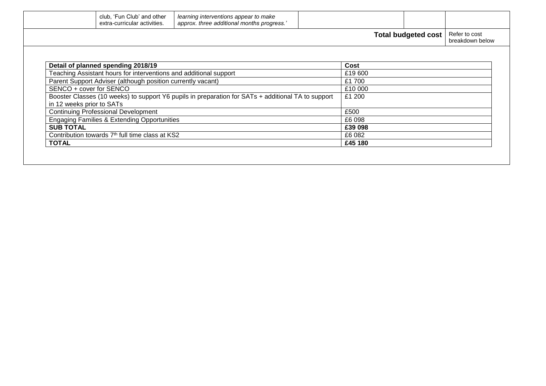| approx. three additional months progress.'<br>extra-curricular activities.                                                      |                            |                                  |  |
|---------------------------------------------------------------------------------------------------------------------------------|----------------------------|----------------------------------|--|
|                                                                                                                                 | <b>Total budgeted cost</b> | Refer to cost<br>breakdown below |  |
|                                                                                                                                 |                            |                                  |  |
| Detail of planned spending 2018/19                                                                                              | Cost                       |                                  |  |
| Teaching Assistant hours for interventions and additional support                                                               | £19 600                    |                                  |  |
| Parent Support Adviser (although position currently vacant)                                                                     | £1700                      |                                  |  |
| SENCO + cover for SENCO                                                                                                         | £10 000                    |                                  |  |
| Booster Classes (10 weeks) to support Y6 pupils in preparation for SATs + additional TA to support<br>in 12 weeks prior to SATs | £1 200                     |                                  |  |
| <b>Continuing Professional Development</b>                                                                                      | £500                       |                                  |  |
| <b>Engaging Families &amp; Extending Opportunities</b>                                                                          | £6 098                     |                                  |  |
| <b>SUB TOTAL</b>                                                                                                                | £39 098                    |                                  |  |
| Contribution towards 7th full time class at KS2                                                                                 | £6 082                     |                                  |  |
|                                                                                                                                 | £45 180                    |                                  |  |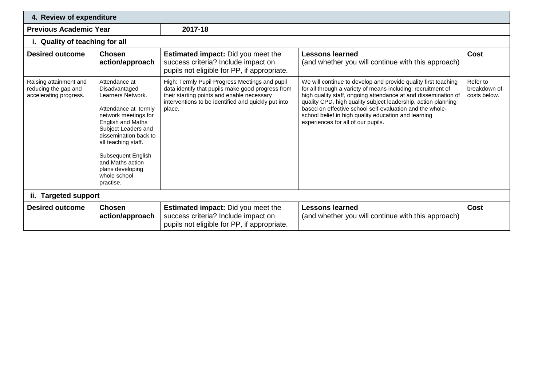| 4. Review of expenditure                                                 |                                                                                                                                                                                                                                                                                            |                                                                                                                                                                                                                    |                                                                                                                                                                                                                                                                                                                                                                                                                             |                                          |  |  |
|--------------------------------------------------------------------------|--------------------------------------------------------------------------------------------------------------------------------------------------------------------------------------------------------------------------------------------------------------------------------------------|--------------------------------------------------------------------------------------------------------------------------------------------------------------------------------------------------------------------|-----------------------------------------------------------------------------------------------------------------------------------------------------------------------------------------------------------------------------------------------------------------------------------------------------------------------------------------------------------------------------------------------------------------------------|------------------------------------------|--|--|
| <b>Previous Academic Year</b>                                            |                                                                                                                                                                                                                                                                                            | 2017-18                                                                                                                                                                                                            |                                                                                                                                                                                                                                                                                                                                                                                                                             |                                          |  |  |
| i. Quality of teaching for all                                           |                                                                                                                                                                                                                                                                                            |                                                                                                                                                                                                                    |                                                                                                                                                                                                                                                                                                                                                                                                                             |                                          |  |  |
| <b>Desired outcome</b>                                                   | <b>Chosen</b><br>action/approach                                                                                                                                                                                                                                                           | <b>Estimated impact:</b> Did you meet the<br>success criteria? Include impact on<br>pupils not eligible for PP, if appropriate.                                                                                    | <b>Lessons learned</b><br>(and whether you will continue with this approach)                                                                                                                                                                                                                                                                                                                                                | Cost                                     |  |  |
| Raising attainment and<br>reducing the gap and<br>accelerating progress. | Attendance at<br>Disadvantaged<br>Learners Network.<br>Attendance at termly<br>network meetings for<br>English and Maths<br>Subject Leaders and<br>dissemination back to<br>all teaching staff.<br>Subsequent English<br>and Maths action<br>plans developing<br>whole school<br>practise. | High: Termly Pupil Progress Meetings and pupil<br>data identify that pupils make good progress from<br>their starting points and enable necessary<br>interventions to be identified and quickly put into<br>place. | We will continue to develop and provide quality first teaching<br>for all through a variety of means including: recruitment of<br>high quality staff, ongoing attendance at and dissemination of<br>quality CPD, high quality subject leadership, action planning<br>based on effective school self-evaluation and the whole-<br>school belief in high quality education and learning<br>experiences for all of our pupils. | Refer to<br>breakdown of<br>costs below. |  |  |
|                                                                          | ii. Targeted support                                                                                                                                                                                                                                                                       |                                                                                                                                                                                                                    |                                                                                                                                                                                                                                                                                                                                                                                                                             |                                          |  |  |
| <b>Desired outcome</b>                                                   | <b>Chosen</b><br>action/approach                                                                                                                                                                                                                                                           | <b>Estimated impact:</b> Did you meet the<br>success criteria? Include impact on<br>pupils not eligible for PP, if appropriate.                                                                                    | <b>Lessons learned</b><br>(and whether you will continue with this approach)                                                                                                                                                                                                                                                                                                                                                | <b>Cost</b>                              |  |  |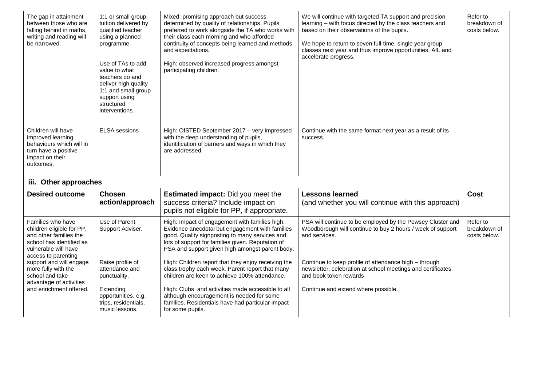| The gap in attainment<br>between those who are<br>falling behind in maths,<br>writing and reading will<br>be narrowed.                              | 1:1 or small group<br>tuition delivered by<br>qualified teacher<br>using a planned<br>programme.<br>Use of TAs to add<br>value to what<br>teachers do and<br>deliver high quality<br>1:1 and small group<br>support using<br>structured<br>interventions. | Mixed: promising approach but success<br>determined by quality of relationships. Pupils<br>preferred to work alongside the TA who works with<br>their class each morning and who afforded<br>continuity of concepts being learned and methods<br>and expectations.<br>High: observed increased progress amongst<br>participating children. | We will continue with targeted TA support and precision<br>learning - with focus directed by the class teachers and<br>based on their observations of the pupils.<br>We hope to return to seven full-time, single year group<br>classes next year and thus improve opportunities, AfL and<br>accelerate progress. | Refer to<br>breakdown of<br>costs below. |  |
|-----------------------------------------------------------------------------------------------------------------------------------------------------|-----------------------------------------------------------------------------------------------------------------------------------------------------------------------------------------------------------------------------------------------------------|--------------------------------------------------------------------------------------------------------------------------------------------------------------------------------------------------------------------------------------------------------------------------------------------------------------------------------------------|-------------------------------------------------------------------------------------------------------------------------------------------------------------------------------------------------------------------------------------------------------------------------------------------------------------------|------------------------------------------|--|
| Children will have<br>improved learning<br>behaviours which will in<br>turn have a positive<br>impact on their<br>outcomes.                         | <b>ELSA</b> sessions                                                                                                                                                                                                                                      | High: OfSTED September 2017 - very impressed<br>with the deep understanding of pupils,<br>identification of barriers and ways in which they<br>are addressed.                                                                                                                                                                              | Continue with the same format next year as a result of its<br>success.                                                                                                                                                                                                                                            |                                          |  |
| iii. Other approaches                                                                                                                               |                                                                                                                                                                                                                                                           |                                                                                                                                                                                                                                                                                                                                            |                                                                                                                                                                                                                                                                                                                   |                                          |  |
| <b>Desired outcome</b>                                                                                                                              | <b>Chosen</b><br>action/approach                                                                                                                                                                                                                          | <b>Estimated impact:</b> Did you meet the<br>success criteria? Include impact on<br>pupils not eligible for PP, if appropriate.                                                                                                                                                                                                            | <b>Lessons learned</b><br>(and whether you will continue with this approach)                                                                                                                                                                                                                                      | Cost                                     |  |
| Families who have<br>children eligible for PP,<br>and other families the<br>school has identified as<br>vulnerable will have<br>access to parenting | Use of Parent<br>Support Adviser.                                                                                                                                                                                                                         | High: Impact of engagement with families high.<br>Evidence anecdotal but engagement with families<br>good. Quality signposting to many services and<br>lots of support for families given. Reputation of<br>PSA and support given high amongst parent body.                                                                                | PSA will continue to be employed by the Pewsey Cluster and<br>Woodborough will continue to buy 2 hours / week of support<br>and services.                                                                                                                                                                         | Refer to<br>breakdown of<br>costs below. |  |
| support and will engage<br>more fully with the<br>school and take<br>advantage of activities                                                        | Raise profile of<br>attendance and<br>punctuality.                                                                                                                                                                                                        | High: Children report that they enjoy receiving the<br>class trophy each week. Parent report that many<br>children are keen to achieve 100% attendance.                                                                                                                                                                                    | Continue to keep profile of attendance high - through<br>newsletter, celebration at school meetings and certificates<br>and book token rewards                                                                                                                                                                    |                                          |  |
| and enrichment offered.                                                                                                                             | Extending<br>opportunities, e.g.<br>trips, residentials,<br>music lessons.                                                                                                                                                                                | High: Clubs and activities made accessible to all<br>although encouragement is needed for some<br>families. Residentials have had particular impact<br>for some pupils.                                                                                                                                                                    | Continue and extend where possible.                                                                                                                                                                                                                                                                               |                                          |  |